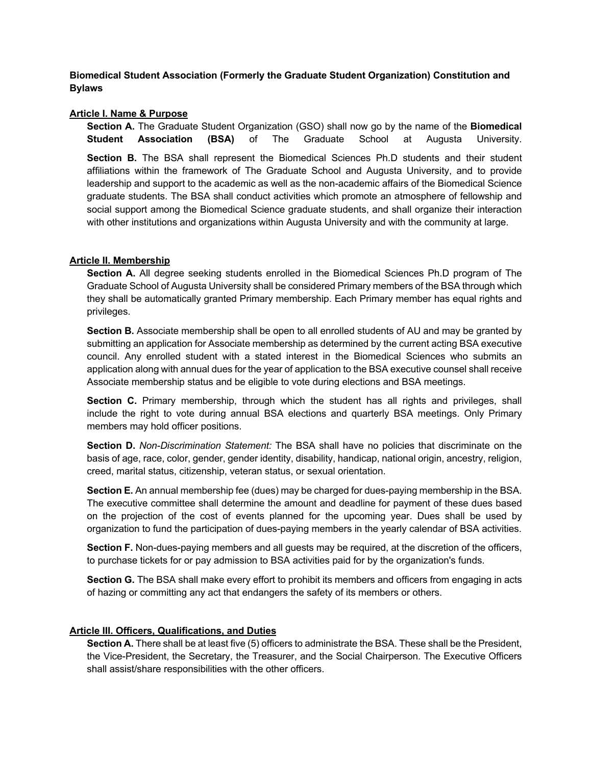**Biomedical Student Association (Formerly the Graduate Student Organization) Constitution and Bylaws** 

# **Article I. Name & Purpose**

**Section A.** The Graduate Student Organization (GSO) shall now go by the name of the **Biomedical Student Association (BSA)** of The Graduate School at Augusta University.

**Section B.** The BSA shall represent the Biomedical Sciences Ph.D students and their student affiliations within the framework of The Graduate School and Augusta University, and to provide leadership and support to the academic as well as the non-academic affairs of the Biomedical Science graduate students. The BSA shall conduct activities which promote an atmosphere of fellowship and social support among the Biomedical Science graduate students, and shall organize their interaction with other institutions and organizations within Augusta University and with the community at large.

# **Article II. Membership**

**Section A.** All degree seeking students enrolled in the Biomedical Sciences Ph.D program of The Graduate School of Augusta University shall be considered Primary members of the BSA through which they shall be automatically granted Primary membership. Each Primary member has equal rights and privileges.

**Section B.** Associate membership shall be open to all enrolled students of AU and may be granted by submitting an application for Associate membership as determined by the current acting BSA executive council. Any enrolled student with a stated interest in the Biomedical Sciences who submits an application along with annual dues for the year of application to the BSA executive counsel shall receive Associate membership status and be eligible to vote during elections and BSA meetings.

**Section C.** Primary membership, through which the student has all rights and privileges, shall include the right to vote during annual BSA elections and quarterly BSA meetings. Only Primary members may hold officer positions.

**Section D.** *Non-Discrimination Statement:* The BSA shall have no policies that discriminate on the basis of age, race, color, gender, gender identity, disability, handicap, national origin, ancestry, religion, creed, marital status, citizenship, veteran status, or sexual orientation.

**Section E.** An annual membership fee (dues) may be charged for dues-paying membership in the BSA. The executive committee shall determine the amount and deadline for payment of these dues based on the projection of the cost of events planned for the upcoming year. Dues shall be used by organization to fund the participation of dues-paying members in the yearly calendar of BSA activities.

**Section F.** Non-dues-paying members and all guests may be required, at the discretion of the officers, to purchase tickets for or pay admission to BSA activities paid for by the organization's funds.

**Section G.** The BSA shall make every effort to prohibit its members and officers from engaging in acts of hazing or committing any act that endangers the safety of its members or others.

### **Article III. Officers, Qualifications, and Duties**

**Section A.** There shall be at least five (5) officers to administrate the BSA. These shall be the President, the Vice-President, the Secretary, the Treasurer, and the Social Chairperson. The Executive Officers shall assist/share responsibilities with the other officers.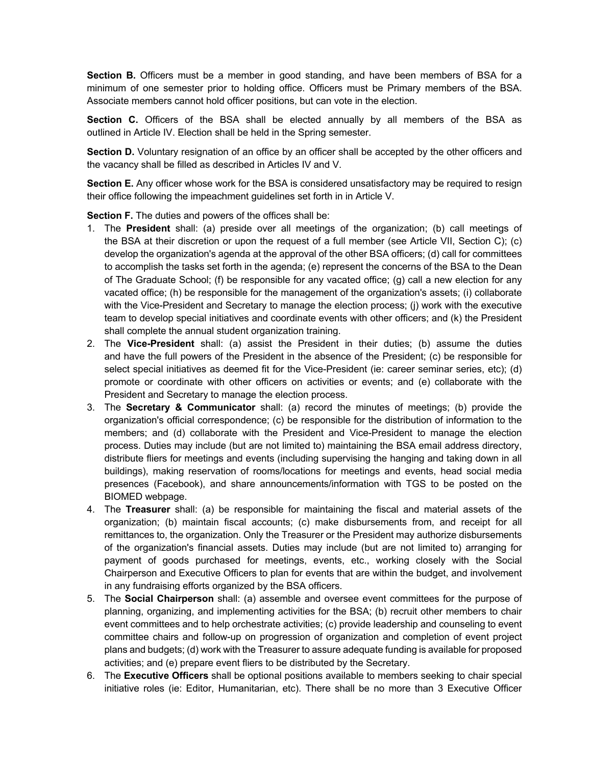**Section B.** Officers must be a member in good standing, and have been members of BSA for a minimum of one semester prior to holding office. Officers must be Primary members of the BSA. Associate members cannot hold officer positions, but can vote in the election.

**Section C.** Officers of the BSA shall be elected annually by all members of the BSA as outlined in Article IV. Election shall be held in the Spring semester.

**Section D.** Voluntary resignation of an office by an officer shall be accepted by the other officers and the vacancy shall be filled as described in Articles IV and V.

**Section E.** Any officer whose work for the BSA is considered unsatisfactory may be required to resign their office following the impeachment guidelines set forth in in Article V.

**Section F.** The duties and powers of the offices shall be:

- 1. The **President** shall: (a) preside over all meetings of the organization; (b) call meetings of the BSA at their discretion or upon the request of a full member (see Article VII, Section C); (c) develop the organization's agenda at the approval of the other BSA officers; (d) call for committees to accomplish the tasks set forth in the agenda; (e) represent the concerns of the BSA to the Dean of The Graduate School; (f) be responsible for any vacated office; (g) call a new election for any vacated office; (h) be responsible for the management of the organization's assets; (i) collaborate with the Vice-President and Secretary to manage the election process; (j) work with the executive team to develop special initiatives and coordinate events with other officers; and (k) the President shall complete the annual student organization training.
- 2. The **Vice-President** shall: (a) assist the President in their duties; (b) assume the duties and have the full powers of the President in the absence of the President; (c) be responsible for select special initiatives as deemed fit for the Vice-President (ie: career seminar series, etc); (d) promote or coordinate with other officers on activities or events; and (e) collaborate with the President and Secretary to manage the election process.
- 3. The **Secretary & Communicator** shall: (a) record the minutes of meetings; (b) provide the organization's official correspondence; (c) be responsible for the distribution of information to the members; and (d) collaborate with the President and Vice-President to manage the election process. Duties may include (but are not limited to) maintaining the BSA email address directory, distribute fliers for meetings and events (including supervising the hanging and taking down in all buildings), making reservation of rooms/locations for meetings and events, head social media presences (Facebook), and share announcements/information with TGS to be posted on the BIOMED webpage.
- 4. The **Treasurer** shall: (a) be responsible for maintaining the fiscal and material assets of the organization; (b) maintain fiscal accounts; (c) make disbursements from, and receipt for all remittances to, the organization. Only the Treasurer or the President may authorize disbursements of the organization's financial assets. Duties may include (but are not limited to) arranging for payment of goods purchased for meetings, events, etc., working closely with the Social Chairperson and Executive Officers to plan for events that are within the budget, and involvement in any fundraising efforts organized by the BSA officers.
- 5. The **Social Chairperson** shall: (a) assemble and oversee event committees for the purpose of planning, organizing, and implementing activities for the BSA; (b) recruit other members to chair event committees and to help orchestrate activities; (c) provide leadership and counseling to event committee chairs and follow-up on progression of organization and completion of event project plans and budgets; (d) work with the Treasurer to assure adequate funding is available for proposed activities; and (e) prepare event fliers to be distributed by the Secretary.
- 6. The **Executive Officers** shall be optional positions available to members seeking to chair special initiative roles (ie: Editor, Humanitarian, etc). There shall be no more than 3 Executive Officer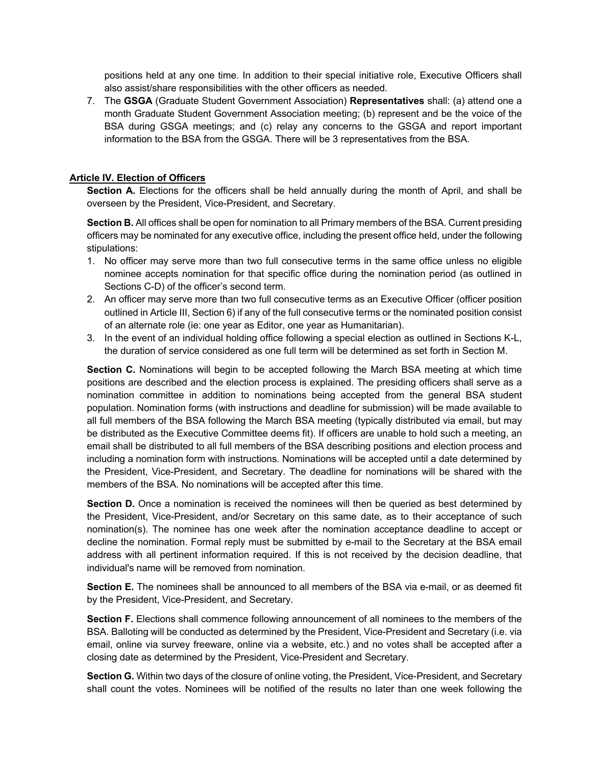positions held at any one time. In addition to their special initiative role, Executive Officers shall also assist/share responsibilities with the other officers as needed.

7. The **GSGA** (Graduate Student Government Association) **Representatives** shall: (a) attend one a month Graduate Student Government Association meeting; (b) represent and be the voice of the BSA during GSGA meetings; and (c) relay any concerns to the GSGA and report important information to the BSA from the GSGA. There will be 3 representatives from the BSA.

# **Article IV. Election of Officers**

**Section A.** Elections for the officers shall be held annually during the month of April, and shall be overseen by the President, Vice-President, and Secretary.

**Section B.** All offices shall be open for nomination to all Primary members of the BSA. Current presiding officers may be nominated for any executive office, including the present office held, under the following stipulations:

- 1. No officer may serve more than two full consecutive terms in the same office unless no eligible nominee accepts nomination for that specific office during the nomination period (as outlined in Sections C-D) of the officer's second term.
- 2. An officer may serve more than two full consecutive terms as an Executive Officer (officer position outlined in Article III, Section 6) if any of the full consecutive terms or the nominated position consist of an alternate role (ie: one year as Editor, one year as Humanitarian).
- 3. In the event of an individual holding office following a special election as outlined in Sections K-L, the duration of service considered as one full term will be determined as set forth in Section M.

**Section C.** Nominations will begin to be accepted following the March BSA meeting at which time positions are described and the election process is explained. The presiding officers shall serve as a nomination committee in addition to nominations being accepted from the general BSA student population. Nomination forms (with instructions and deadline for submission) will be made available to all full members of the BSA following the March BSA meeting (typically distributed via email, but may be distributed as the Executive Committee deems fit). If officers are unable to hold such a meeting, an email shall be distributed to all full members of the BSA describing positions and election process and including a nomination form with instructions. Nominations will be accepted until a date determined by the President, Vice-President, and Secretary. The deadline for nominations will be shared with the members of the BSA. No nominations will be accepted after this time.

**Section D.** Once a nomination is received the nominees will then be queried as best determined by the President, Vice-President, and/or Secretary on this same date, as to their acceptance of such nomination(s). The nominee has one week after the nomination acceptance deadline to accept or decline the nomination. Formal reply must be submitted by e-mail to the Secretary at the BSA email address with all pertinent information required. If this is not received by the decision deadline, that individual's name will be removed from nomination.

**Section E.** The nominees shall be announced to all members of the BSA via e-mail, or as deemed fit by the President, Vice-President, and Secretary.

**Section F.** Elections shall commence following announcement of all nominees to the members of the BSA. Balloting will be conducted as determined by the President, Vice-President and Secretary (i.e. via email, online via survey freeware, online via a website, etc.) and no votes shall be accepted after a closing date as determined by the President, Vice-President and Secretary.

Section G. Within two days of the closure of online voting, the President, Vice-President, and Secretary shall count the votes. Nominees will be notified of the results no later than one week following the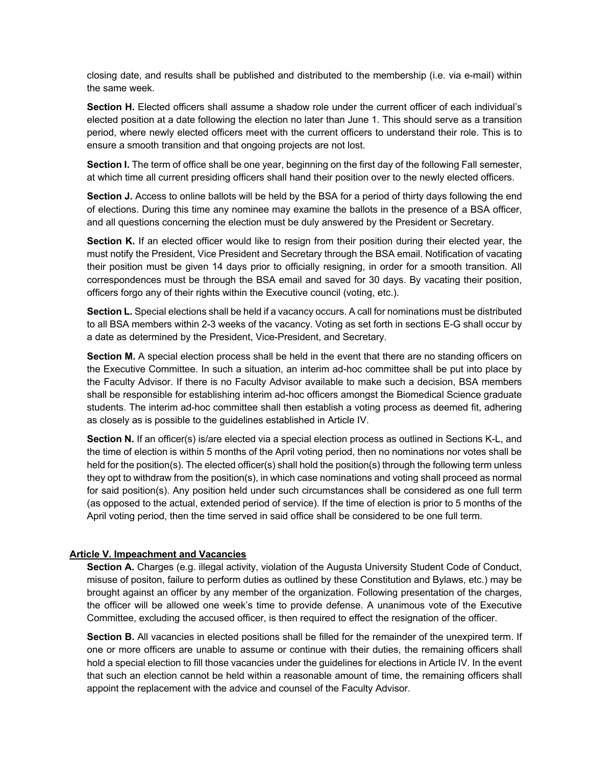closing date, and results shall be published and distributed to the membership (i.e. via e-mail) within the same week.

**Section H.** Elected officers shall assume a shadow role under the current officer of each individual's elected position at a date following the election no later than June 1. This should serve as a transition period, where newly elected officers meet with the current officers to understand their role. This is to ensure a smooth transition and that ongoing projects are not lost.

**Section I.** The term of office shall be one year, beginning on the first day of the following Fall semester, at which time all current presiding officers shall hand their position over to the newly elected officers.

**Section J.** Access to online ballots will be held by the BSA for a period of thirty days following the end of elections. During this time any nominee may examine the ballots in the presence of a BSA officer, and all questions concerning the election must be duly answered by the President or Secretary.

**Section K.** If an elected officer would like to resign from their position during their elected year, the must notify the President, Vice President and Secretary through the BSA email. Notification of vacating their position must be given 14 days prior to officially resigning, in order for a smooth transition. All correspondences must be through the BSA email and saved for 30 days. By vacating their position, officers forgo any of their rights within the Executive council (voting, etc.).

**Section L.** Special elections shall be held if a vacancy occurs. A call for nominations must be distributed to all BSA members within 2-3 weeks of the vacancy. Voting as set forth in sections E-G shall occur by a date as determined by the President, Vice-President, and Secretary.

**Section M.** A special election process shall be held in the event that there are no standing officers on the Executive Committee. In such a situation, an interim ad-hoc committee shall be put into place by the Faculty Advisor. If there is no Faculty Advisor available to make such a decision, BSA members shall be responsible for establishing interim ad-hoc officers amongst the Biomedical Science graduate students. The interim ad-hoc committee shall then establish a voting process as deemed fit, adhering as closely as is possible to the guidelines established in Article IV.

Section N. If an officer(s) is/are elected via a special election process as outlined in Sections K-L, and the time of election is within 5 months of the April voting period, then no nominations nor votes shall be held for the position(s). The elected officer(s) shall hold the position(s) through the following term unless they opt to withdraw from the position(s), in which case nominations and voting shall proceed as normal for said position(s). Any position held under such circumstances shall be considered as one full term (as opposed to the actual, extended period of service). If the time of election is prior to 5 months of the April voting period, then the time served in said office shall be considered to be one full term.

# **Article V. Impeachment and Vacancies**

Section A. Charges (e.g. illegal activity, violation of the Augusta University Student Code of Conduct, misuse of positon, failure to perform duties as outlined by these Constitution and Bylaws, etc.) may be brought against an officer by any member of the organization. Following presentation of the charges, the officer will be allowed one week's time to provide defense. A unanimous vote of the Executive Committee, excluding the accused officer, is then required to effect the resignation of the officer.

**Section B.** All vacancies in elected positions shall be filled for the remainder of the unexpired term. If one or more officers are unable to assume or continue with their duties, the remaining officers shall hold a special election to fill those vacancies under the guidelines for elections in Article IV. In the event that such an election cannot be held within a reasonable amount of time, the remaining officers shall appoint the replacement with the advice and counsel of the Faculty Advisor.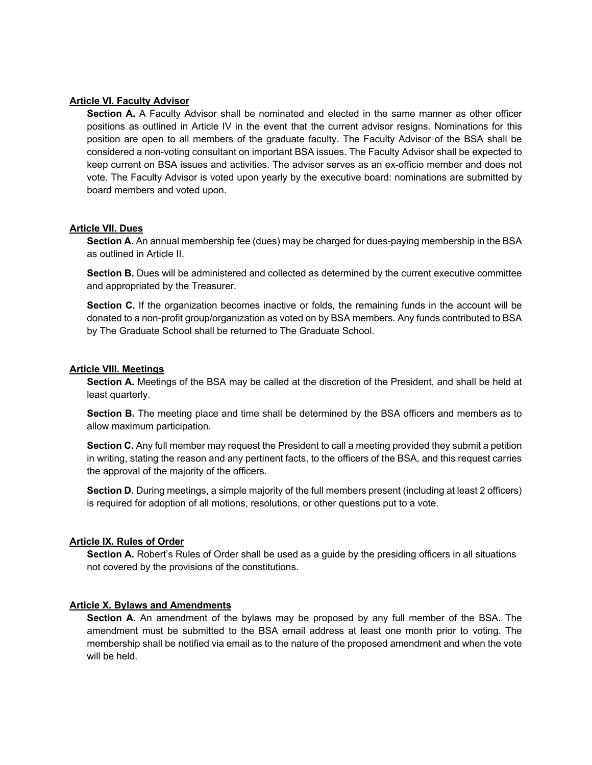## **Article VI. Faculty Advisor**

**Section A.** A Faculty Advisor shall be nominated and elected in the same manner as other officer positions as outlined in Article IV in the event that the current advisor resigns. Nominations for this position are open to all members of the graduate faculty. The Faculty Advisor of the BSA shall be considered a non-voting consultant on important BSA issues. The Faculty Advisor shall be expected to keep current on BSA issues and activities. The advisor serves as an ex-officio member and does not vote. The Faculty Advisor is voted upon yearly by the executive board: nominations are submitted by board members and voted upon.

# **Article VII. Dues**

**Section A.** An annual membership fee (dues) may be charged for dues-paying membership in the BSA as outlined in Article II.

**Section B.** Dues will be administered and collected as determined by the current executive committee and appropriated by the Treasurer.

**Section C.** If the organization becomes inactive or folds, the remaining funds in the account will be donated to a non-profit group/organization as voted on by BSA members. Any funds contributed to BSA by The Graduate School shall be returned to The Graduate School.

# **Article VIII. Meetings**

**Section A.** Meetings of the BSA may be called at the discretion of the President, and shall be held at least quarterly.

**Section B.** The meeting place and time shall be determined by the BSA officers and members as to allow maximum participation.

**Section C.** Any full member may request the President to call a meeting provided they submit a petition in writing, stating the reason and any pertinent facts, to the officers of the BSA, and this request carries the approval of the majority of the officers.

**Section D.** During meetings, a simple majority of the full members present (including at least 2 officers) is required for adoption of all motions, resolutions, or other questions put to a vote.

### **Article IX. Rules of Order**

**Section A.** Robert's Rules of Order shall be used as a guide by the presiding officers in all situations not covered by the provisions of the constitutions.

### **Article X. Bylaws and Amendments**

**Section A.** An amendment of the bylaws may be proposed by any full member of the BSA. The amendment must be submitted to the BSA email address at least one month prior to voting. The membership shall be notified via email as to the nature of the proposed amendment and when the vote will be held.